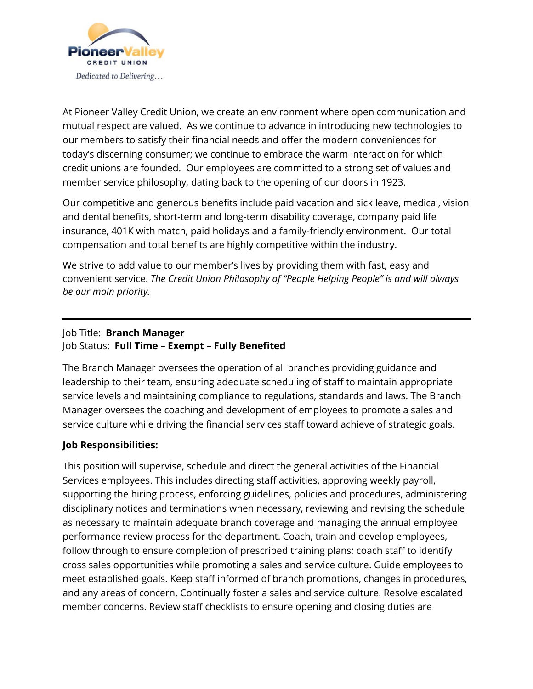

At Pioneer Valley Credit Union, we create an environment where open communication and mutual respect are valued. As we continue to advance in introducing new technologies to our members to satisfy their financial needs and offer the modern conveniences for today's discerning consumer; we continue to embrace the warm interaction for which credit unions are founded. Our employees are committed to a strong set of values and member service philosophy, dating back to the opening of our doors in 1923.

Our competitive and generous benefits include paid vacation and sick leave, medical, vision and dental benefits, short-term and long-term disability coverage, company paid life insurance, 401K with match, paid holidays and a family-friendly environment. Our total compensation and total benefits are highly competitive within the industry.

We strive to add value to our member's lives by providing them with fast, easy and convenient service. *The Credit Union Philosophy of "People Helping People" is and will always be our main priority.*

## Job Title: **Branch Manager** Job Status: **Full Time – Exempt – Fully Benefited**

The Branch Manager oversees the operation of all branches providing guidance and leadership to their team, ensuring adequate scheduling of staff to maintain appropriate service levels and maintaining compliance to regulations, standards and laws. The Branch Manager oversees the coaching and development of employees to promote a sales and service culture while driving the financial services staff toward achieve of strategic goals.

## **Job Responsibilities:**

This position will supervise, schedule and direct the general activities of the Financial Services employees. This includes directing staff activities, approving weekly payroll, supporting the hiring process, enforcing guidelines, policies and procedures, administering disciplinary notices and terminations when necessary, reviewing and revising the schedule as necessary to maintain adequate branch coverage and managing the annual employee performance review process for the department. Coach, train and develop employees, follow through to ensure completion of prescribed training plans; coach staff to identify cross sales opportunities while promoting a sales and service culture. Guide employees to meet established goals. Keep staff informed of branch promotions, changes in procedures, and any areas of concern. Continually foster a sales and service culture. Resolve escalated member concerns. Review staff checklists to ensure opening and closing duties are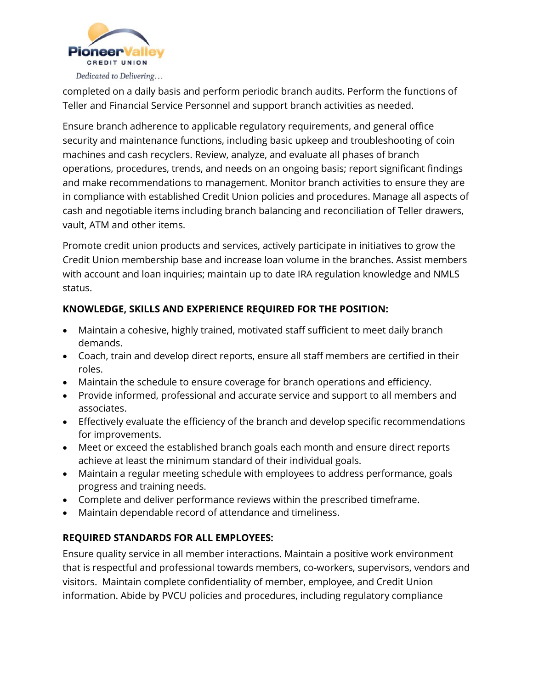

completed on a daily basis and perform periodic branch audits. Perform the functions of Teller and Financial Service Personnel and support branch activities as needed.

Ensure branch adherence to applicable regulatory requirements, and general office security and maintenance functions, including basic upkeep and troubleshooting of coin machines and cash recyclers. Review, analyze, and evaluate all phases of branch operations, procedures, trends, and needs on an ongoing basis; report significant findings and make recommendations to management. Monitor branch activities to ensure they are in compliance with established Credit Union policies and procedures. Manage all aspects of cash and negotiable items including branch balancing and reconciliation of Teller drawers, vault, ATM and other items.

Promote credit union products and services, actively participate in initiatives to grow the Credit Union membership base and increase loan volume in the branches. Assist members with account and loan inquiries; maintain up to date IRA regulation knowledge and NMLS status.

## **KNOWLEDGE, SKILLS AND EXPERIENCE REQUIRED FOR THE POSITION:**

- Maintain a cohesive, highly trained, motivated staff sufficient to meet daily branch demands.
- Coach, train and develop direct reports, ensure all staff members are certified in their roles.
- Maintain the schedule to ensure coverage for branch operations and efficiency.
- Provide informed, professional and accurate service and support to all members and associates.
- Effectively evaluate the efficiency of the branch and develop specific recommendations for improvements.
- Meet or exceed the established branch goals each month and ensure direct reports achieve at least the minimum standard of their individual goals.
- Maintain a regular meeting schedule with employees to address performance, goals progress and training needs.
- Complete and deliver performance reviews within the prescribed timeframe.
- Maintain dependable record of attendance and timeliness.

## **REQUIRED STANDARDS FOR ALL EMPLOYEES:**

Ensure quality service in all member interactions. Maintain a positive work environment that is respectful and professional towards members, co-workers, supervisors, vendors and visitors. Maintain complete confidentiality of member, employee, and Credit Union information. Abide by PVCU policies and procedures, including regulatory compliance